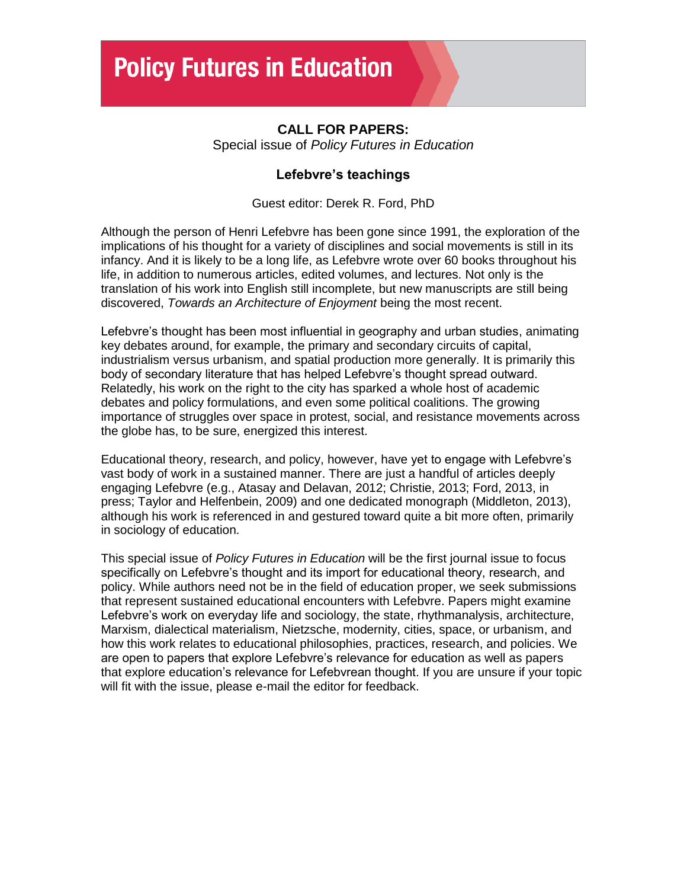## **CALL FOR PAPERS:**

Special issue of *Policy Futures in Education*

## **Lefebvre's teachings**

Guest editor: Derek R. Ford, PhD

Although the person of Henri Lefebvre has been gone since 1991, the exploration of the implications of his thought for a variety of disciplines and social movements is still in its infancy. And it is likely to be a long life, as Lefebvre wrote over 60 books throughout his life, in addition to numerous articles, edited volumes, and lectures. Not only is the translation of his work into English still incomplete, but new manuscripts are still being discovered, *Towards an Architecture of Enjoyment* being the most recent.

Lefebvre's thought has been most influential in geography and urban studies, animating key debates around, for example, the primary and secondary circuits of capital, industrialism versus urbanism, and spatial production more generally. It is primarily this body of secondary literature that has helped Lefebvre's thought spread outward. Relatedly, his work on the right to the city has sparked a whole host of academic debates and policy formulations, and even some political coalitions. The growing importance of struggles over space in protest, social, and resistance movements across the globe has, to be sure, energized this interest.

Educational theory, research, and policy, however, have yet to engage with Lefebvre's vast body of work in a sustained manner. There are just a handful of articles deeply engaging Lefebvre (e.g., Atasay and Delavan, 2012; Christie, 2013; Ford, 2013, in press; Taylor and Helfenbein, 2009) and one dedicated monograph (Middleton, 2013), although his work is referenced in and gestured toward quite a bit more often, primarily in sociology of education.

This special issue of *Policy Futures in Education* will be the first journal issue to focus specifically on Lefebvre's thought and its import for educational theory, research, and policy. While authors need not be in the field of education proper, we seek submissions that represent sustained educational encounters with Lefebvre. Papers might examine Lefebvre's work on everyday life and sociology, the state, rhythmanalysis, architecture, Marxism, dialectical materialism, Nietzsche, modernity, cities, space, or urbanism, and how this work relates to educational philosophies, practices, research, and policies. We are open to papers that explore Lefebvre's relevance for education as well as papers that explore education's relevance for Lefebvrean thought. If you are unsure if your topic will fit with the issue, please e-mail the editor for feedback.